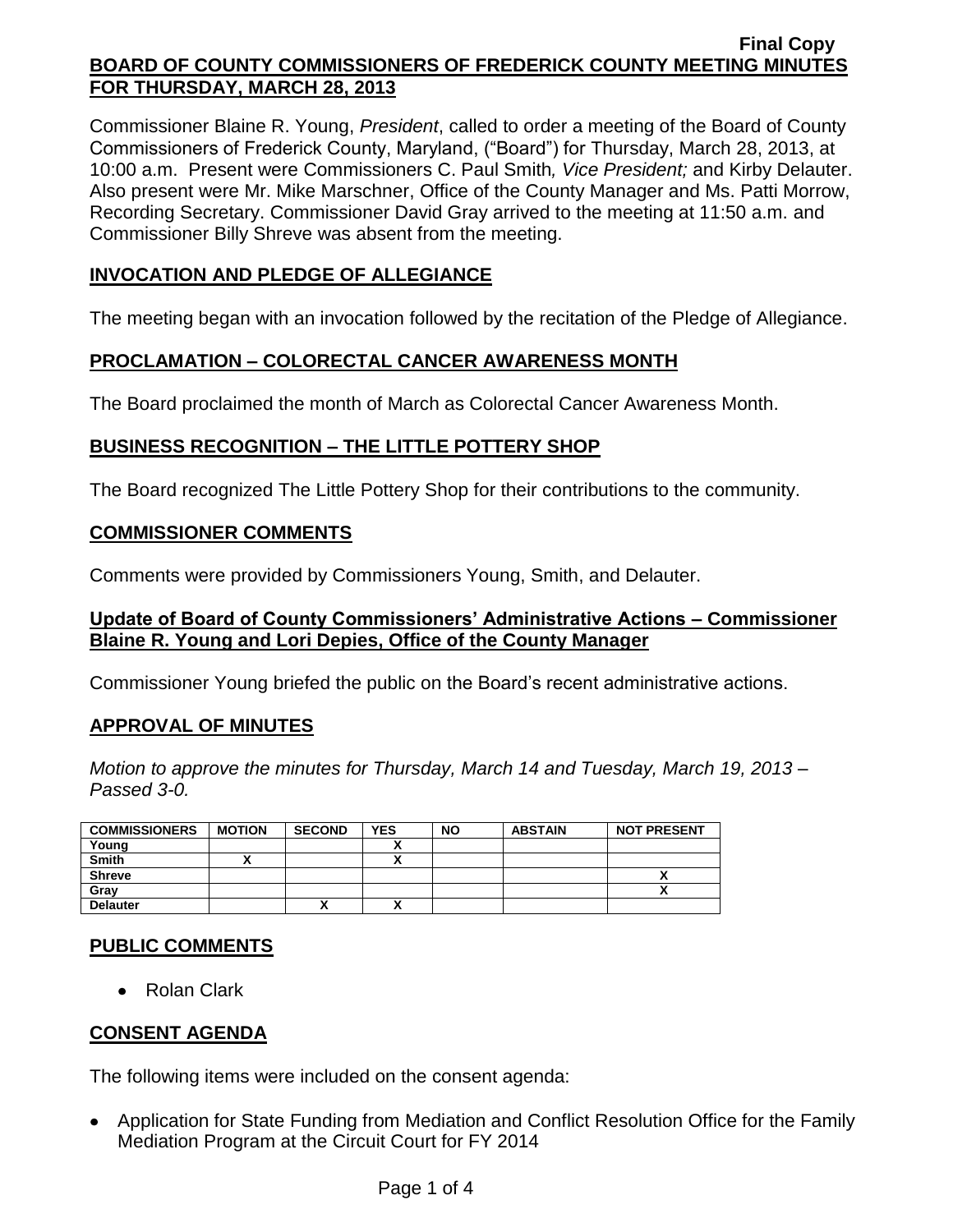Commissioner Blaine R. Young, *President*, called to order a meeting of the Board of County Commissioners of Frederick County, Maryland, ("Board") for Thursday, March 28, 2013, at 10:00 a.m. Present were Commissioners C. Paul Smith*, Vice President;* and Kirby Delauter. Also present were Mr. Mike Marschner, Office of the County Manager and Ms. Patti Morrow, Recording Secretary. Commissioner David Gray arrived to the meeting at 11:50 a.m. and Commissioner Billy Shreve was absent from the meeting.

# **INVOCATION AND PLEDGE OF ALLEGIANCE**

The meeting began with an invocation followed by the recitation of the Pledge of Allegiance.

# **PROCLAMATION – COLORECTAL CANCER AWARENESS MONTH**

The Board proclaimed the month of March as Colorectal Cancer Awareness Month.

# **BUSINESS RECOGNITION – THE LITTLE POTTERY SHOP**

The Board recognized The Little Pottery Shop for their contributions to the community.

## **COMMISSIONER COMMENTS**

Comments were provided by Commissioners Young, Smith, and Delauter.

## **Update of Board of County Commissioners' Administrative Actions – Commissioner Blaine R. Young and Lori Depies, Office of the County Manager**

Commissioner Young briefed the public on the Board's recent administrative actions.

## **APPROVAL OF MINUTES**

*Motion to approve the minutes for Thursday, March 14 and Tuesday, March 19, 2013 – Passed 3-0.*

| <b>COMMISSIONERS</b> | <b>MOTION</b> | <b>SECOND</b> | <b>YES</b> | <b>NO</b> | <b>ABSTAIN</b> | <b>NOT PRESENT</b> |
|----------------------|---------------|---------------|------------|-----------|----------------|--------------------|
| Young                |               |               |            |           |                |                    |
| <b>Smith</b>         |               |               |            |           |                |                    |
| <b>Shreve</b>        |               |               |            |           |                | ~                  |
| Gray                 |               |               |            |           |                | ^                  |
| <b>Delauter</b>      |               |               |            |           |                |                    |

## **PUBLIC COMMENTS**

• Rolan Clark

# **CONSENT AGENDA**

The following items were included on the consent agenda:

Application for State Funding from Mediation and Conflict Resolution Office for the Family Mediation Program at the Circuit Court for FY 2014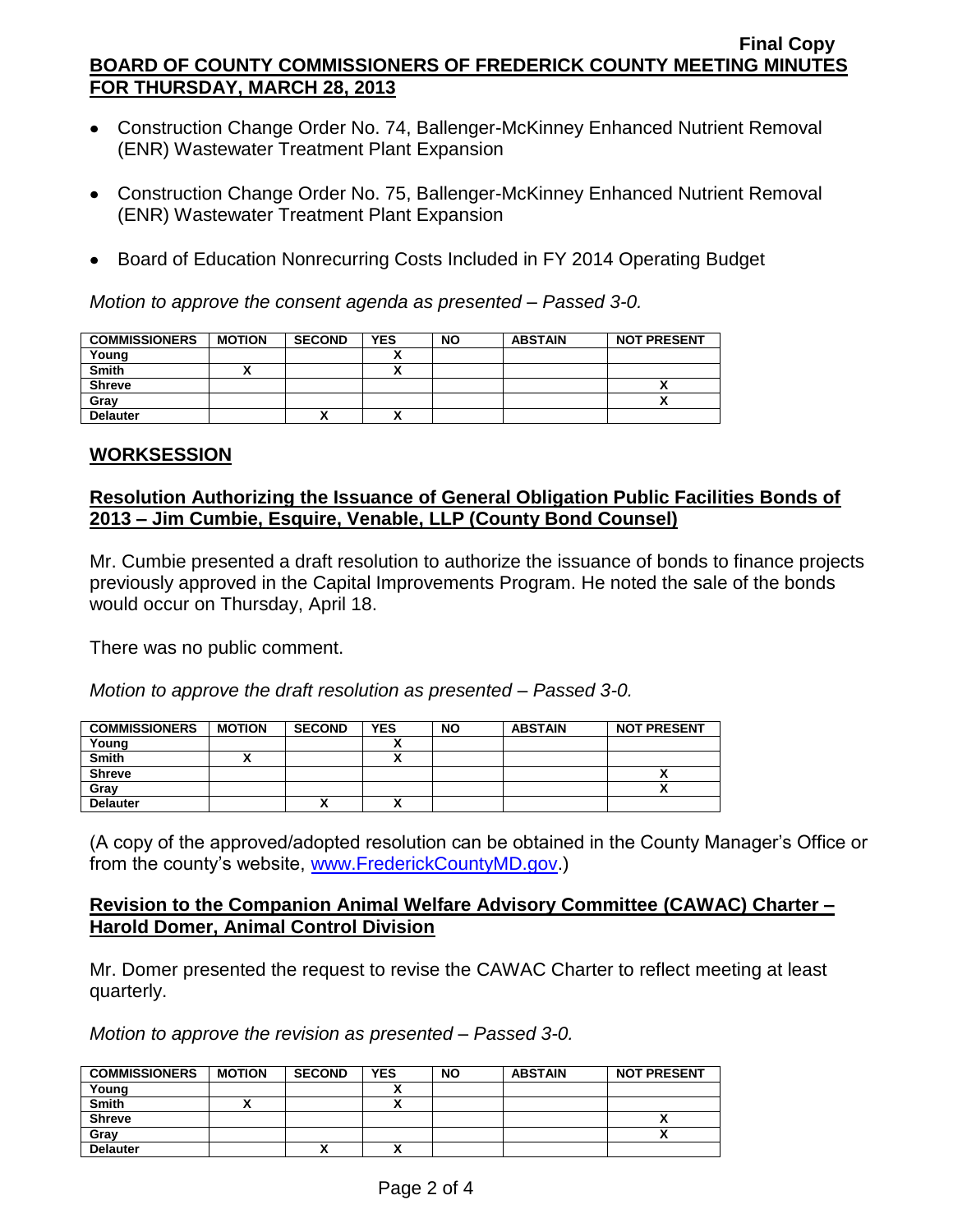- Construction Change Order No. 74, Ballenger-McKinney Enhanced Nutrient Removal (ENR) Wastewater Treatment Plant Expansion
- Construction Change Order No. 75, Ballenger-McKinney Enhanced Nutrient Removal (ENR) Wastewater Treatment Plant Expansion
- Board of Education Nonrecurring Costs Included in FY 2014 Operating Budget

*Motion to approve the consent agenda as presented – Passed 3-0.*

| <b>COMMISSIONERS</b> | <b>MOTION</b> | <b>SECOND</b> | <b>YES</b> | <b>NO</b> | <b>ABSTAIN</b> | <b>NOT PRESENT</b> |
|----------------------|---------------|---------------|------------|-----------|----------------|--------------------|
| Young                |               |               |            |           |                |                    |
| <b>Smith</b>         |               |               | ~          |           |                |                    |
| <b>Shreve</b>        |               |               |            |           |                |                    |
| Gray                 |               |               |            |           |                |                    |
| <b>Delauter</b>      |               | ,,            |            |           |                |                    |

## **WORKSESSION**

## **Resolution Authorizing the Issuance of General Obligation Public Facilities Bonds of 2013 – Jim Cumbie, Esquire, Venable, LLP (County Bond Counsel)**

Mr. Cumbie presented a draft resolution to authorize the issuance of bonds to finance projects previously approved in the Capital Improvements Program. He noted the sale of the bonds would occur on Thursday, April 18.

There was no public comment.

*Motion to approve the draft resolution as presented – Passed 3-0.*

| <b>COMMISSIONERS</b> | <b>MOTION</b> | <b>SECOND</b> | <b>YES</b> | <b>NO</b> | <b>ABSTAIN</b> | <b>NOT PRESENT</b> |
|----------------------|---------------|---------------|------------|-----------|----------------|--------------------|
| Young                |               |               |            |           |                |                    |
| <b>Smith</b>         |               |               |            |           |                |                    |
| <b>Shreve</b>        |               |               |            |           |                | ~                  |
| Grav                 |               |               |            |           |                | ~                  |
| <b>Delauter</b>      |               | "             | ^          |           |                |                    |

(A copy of the approved/adopted resolution can be obtained in the County Manager's Office or from the county's website, [www.FrederickCountyMD.gov.](http://www.frederickcountymd.gov/))

## **Revision to the Companion Animal Welfare Advisory Committee (CAWAC) Charter – Harold Domer, Animal Control Division**

Mr. Domer presented the request to revise the CAWAC Charter to reflect meeting at least quarterly.

*Motion to approve the revision as presented – Passed 3-0.*

| <b>COMMISSIONERS</b> | <b>MOTION</b> | <b>SECOND</b> | <b>YES</b> | <b>NO</b> | <b>ABSTAIN</b> | <b>NOT PRESENT</b> |
|----------------------|---------------|---------------|------------|-----------|----------------|--------------------|
| Young                |               |               |            |           |                |                    |
| <b>Smith</b>         |               |               | ^          |           |                |                    |
| <b>Shreve</b>        |               |               |            |           |                |                    |
| Gray                 |               |               |            |           |                |                    |
| <b>Delauter</b>      |               | "             | ^          |           |                |                    |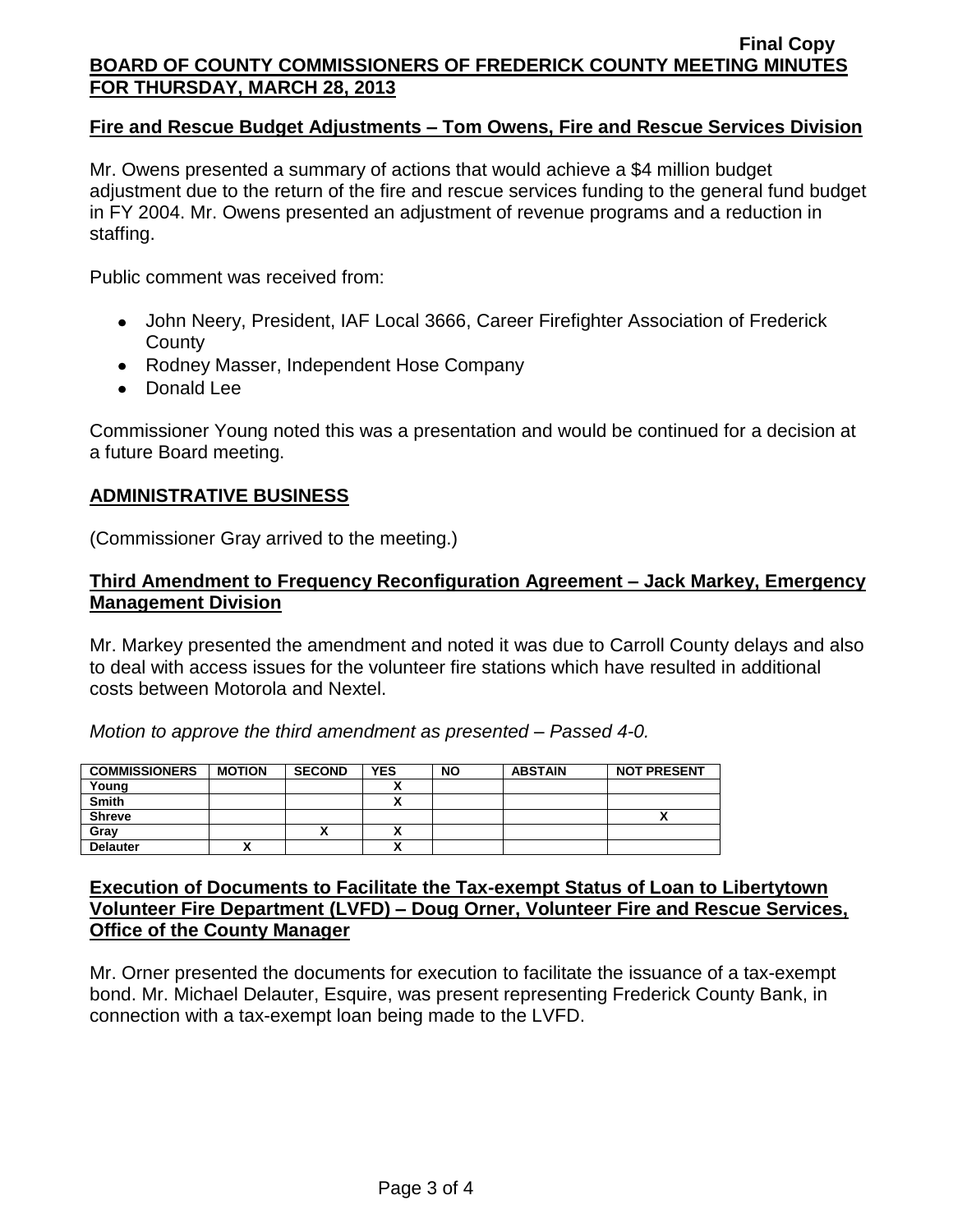## **Fire and Rescue Budget Adjustments – Tom Owens, Fire and Rescue Services Division**

Mr. Owens presented a summary of actions that would achieve a \$4 million budget adjustment due to the return of the fire and rescue services funding to the general fund budget in FY 2004. Mr. Owens presented an adjustment of revenue programs and a reduction in staffing.

Public comment was received from:

- John Neery, President, IAF Local 3666, Career Firefighter Association of Frederick **County**
- Rodney Masser, Independent Hose Company
- Donald Lee

Commissioner Young noted this was a presentation and would be continued for a decision at a future Board meeting.

### **ADMINISTRATIVE BUSINESS**

(Commissioner Gray arrived to the meeting.)

### **Third Amendment to Frequency Reconfiguration Agreement – Jack Markey, Emergency Management Division**

Mr. Markey presented the amendment and noted it was due to Carroll County delays and also to deal with access issues for the volunteer fire stations which have resulted in additional costs between Motorola and Nextel.

*Motion to approve the third amendment as presented – Passed 4-0.*

| <b>COMMISSIONERS</b> | <b>MOTION</b> | <b>SECOND</b> | <b>YES</b> | <b>NO</b> | <b>ABSTAIN</b> | <b>NOT PRESENT</b> |
|----------------------|---------------|---------------|------------|-----------|----------------|--------------------|
| Young                |               |               |            |           |                |                    |
| <b>Smith</b>         |               |               |            |           |                |                    |
| <b>Shreve</b>        |               |               |            |           |                |                    |
| Gray                 |               | ,,            | ^          |           |                |                    |
| <b>Delauter</b>      |               |               | ~          |           |                |                    |

### **Execution of Documents to Facilitate the Tax-exempt Status of Loan to Libertytown Volunteer Fire Department (LVFD) – Doug Orner, Volunteer Fire and Rescue Services, Office of the County Manager**

Mr. Orner presented the documents for execution to facilitate the issuance of a tax-exempt bond. Mr. Michael Delauter, Esquire, was present representing Frederick County Bank, in connection with a tax-exempt loan being made to the LVFD.